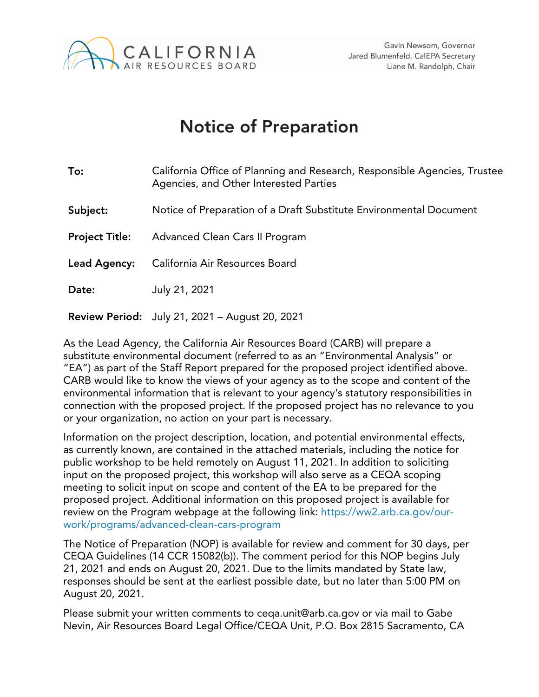

## Notice of Preparation

| To:                   | California Office of Planning and Research, Responsible Agencies, Trustee<br>Agencies, and Other Interested Parties |  |
|-----------------------|---------------------------------------------------------------------------------------------------------------------|--|
| Subject:              | Notice of Preparation of a Draft Substitute Environmental Document                                                  |  |
| <b>Project Title:</b> | Advanced Clean Cars II Program                                                                                      |  |
| Lead Agency:          | California Air Resources Board                                                                                      |  |
| Date:                 | July 21, 2021                                                                                                       |  |
|                       | <b>Review Period:</b> July 21, 2021 - August 20, 2021                                                               |  |

As the Lead Agency, the California Air Resources Board (CARB) will prepare a substitute environmental document (referred to as an "Environmental Analysis" or "EA") as part of the Staff Report prepared for the proposed project identified above. CARB would like to know the views of your agency as to the scope and content of the environmental information that is relevant to your agency's statutory responsibilities in connection with the proposed project. If the proposed project has no relevance to you or your organization, no action on your part is necessary.

Information on the project description, location, and potential environmental effects, as currently known, are contained in the attached materials, including the notice for public workshop to be held remotely on August 11, 2021. In addition to soliciting input on the proposed project, this workshop will also serve as a CEQA scoping meeting to solicit input on scope and content of the EA to be prepared for the proposed project. Additional information on this proposed project is available for review on the Program webpage at the following link: https://ww2.arb.ca.gov/ourwork/programs/advanced-clean-cars-program

The Notice of Preparation (NOP) is available for review and comment for 30 days, per CEQA Guidelines (14 CCR 15082(b)). The comment period for this NOP begins July 21, 2021 and ends on August 20, 2021. Due to the limits mandated by State law, responses should be sent at the earliest possible date, but no later than 5:00 PM on August 20, 2021.

Please submit your written comments to ceqa.unit@arb.ca.gov or via mail to Gabe Nevin, Air Resources Board Legal Office/CEQA Unit, P.O. Box 2815 Sacramento, CA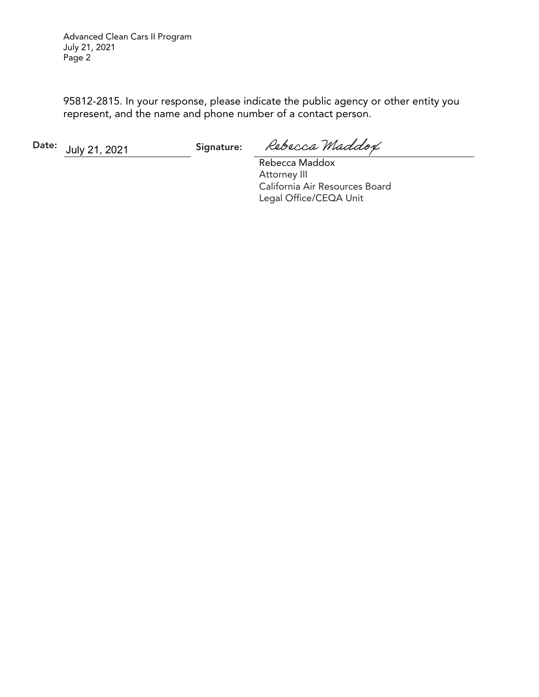Advanced Clean Cars II Program July 21, 2021 Page 2

95812-2815. In your response, please indicate the public agency or other entity you represent, and the name and phone number of a contact person.

Date: July 21, 2021 Signature:

Rebecca Maddox

Rebecca Maddox Attorney III California Air Resources Board Legal Office/CEQA Unit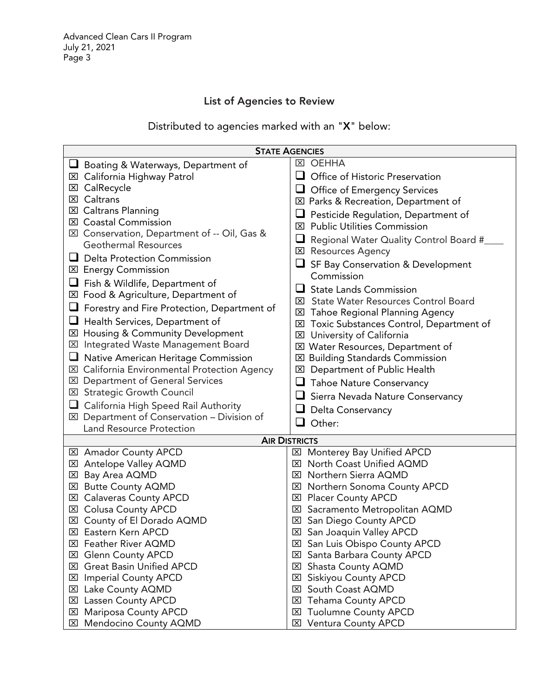### List of Agencies to Review

Distributed to agencies marked with an "X" below:

| <b>STATE AGENCIES</b>                                                                   |                                                       |  |  |  |
|-----------------------------------------------------------------------------------------|-------------------------------------------------------|--|--|--|
| Boating & Waterways, Department of                                                      | <b>区 OEHHA</b>                                        |  |  |  |
| <b>⊠</b> California Highway Patrol                                                      | Office of Historic Preservation<br>$\sqcup$           |  |  |  |
| CalRecycle<br>⊠                                                                         | <b>Office of Emergency Services</b><br>⊔              |  |  |  |
| <b>⊠</b> Caltrans                                                                       | ⊠ Parks & Recreation, Department of                   |  |  |  |
| <b>⊠</b> Caltrans Planning                                                              | Pesticide Regulation, Department of                   |  |  |  |
| <b>⊠</b> Coastal Commission                                                             | <b>Public Utilities Commission</b><br>$\vert x \vert$ |  |  |  |
| ⊠ Conservation, Department of -- Oil, Gas &                                             |                                                       |  |  |  |
| <b>Geothermal Resources</b>                                                             | ⊔<br>Regional Water Quality Control Board #           |  |  |  |
| $\Box$ Delta Protection Commission                                                      | <b>区 Resources Agency</b>                             |  |  |  |
| <b>⊠</b> Energy Commission                                                              | SF Bay Conservation & Development                     |  |  |  |
| Fish & Wildlife, Department of                                                          | Commission                                            |  |  |  |
| ⊠ Food & Agriculture, Department of                                                     | ப<br><b>State Lands Commission</b>                    |  |  |  |
| Forestry and Fire Protection, Department of                                             | <b>EX</b> State Water Resources Control Board         |  |  |  |
|                                                                                         | <b>EXI</b> Tahoe Regional Planning Agency             |  |  |  |
| Health Services, Department of<br>⊠ Housing & Community Development                     | Toxic Substances Control, Department of<br>⊠          |  |  |  |
| <b>E</b> Integrated Waste Management Board                                              | University of California<br>図                         |  |  |  |
|                                                                                         | ⊠ Water Resources, Department of                      |  |  |  |
| Native American Heritage Commission                                                     | <b>EX</b> Building Standards Commission               |  |  |  |
| ⊠ California Environmental Protection Agency                                            | <b>EXI</b> Department of Public Health                |  |  |  |
| <b>EXI</b> Department of General Services                                               | <b>Tahoe Nature Conservancy</b>                       |  |  |  |
| <b>EX</b> Strategic Growth Council                                                      | Sierra Nevada Nature Conservancy<br>◡                 |  |  |  |
| <b>California High Speed Rail Authority</b>                                             | ⊔<br>Delta Conservancy                                |  |  |  |
| $\boxtimes$ Department of Conservation - Division of                                    | Other:<br>$\sqcup$                                    |  |  |  |
| <b>Land Resource Protection</b>                                                         |                                                       |  |  |  |
| <b>AIR DISTRICTS</b><br><b>Monterey Bay Unified APCD</b><br><b>⊠</b> Amador County APCD |                                                       |  |  |  |
| <b>⊠</b> Antelope Valley AQMD                                                           | ⊠<br>North Coast Unified AQMD<br>$\mathbf{x}$         |  |  |  |
| 区 Bay Area AQMD                                                                         | <b>⊠</b> Northern Sierra AQMD                         |  |  |  |
| ⊠ Butte County AQMD                                                                     | ⊠ Northern Sonoma County APCD                         |  |  |  |
| <b>⊠</b> Calaveras County APCD                                                          | <b>⊠</b> Placer County APCD                           |  |  |  |
| <b>EXI</b> Colusa County APCD                                                           | Sacramento Metropolitan AQMD<br>$\boxtimes$           |  |  |  |
| County of El Dorado AQMD<br>$\vert x \vert$                                             | ⊠ San Diego County APCD                               |  |  |  |
| <b>⊠ Eastern Kern APCD</b>                                                              | <b>⊠</b> San Joaquin Valley APCD                      |  |  |  |
| <b>区 Feather River AQMD</b>                                                             | ⊠ San Luis Obispo County APCD                         |  |  |  |
| <b>⊠</b> Glenn County APCD                                                              | Santa Barbara County APCD<br>$\mathbf{x}$             |  |  |  |
| <b>EX</b> Great Basin Unified APCD                                                      | Shasta County AQMD<br>$\mathbf{x}$                    |  |  |  |
| <b>Imperial County APCD</b><br>⊠                                                        | Siskiyou County APCD<br>囟                             |  |  |  |
| Lake County AQMD<br>⊠                                                                   | South Coast AQMD<br>⊠                                 |  |  |  |
| <b>Lassen County APCD</b><br>⊠                                                          | <b>Tehama County APCD</b><br>$\overline{\mathsf{x}}$  |  |  |  |
| <b>⊠</b> Mariposa County APCD                                                           | <b>Tuolumne County APCD</b><br>$\mathbf{x}$           |  |  |  |
| ⊠ Mendocino County AQMD                                                                 | ⊠ Ventura County APCD                                 |  |  |  |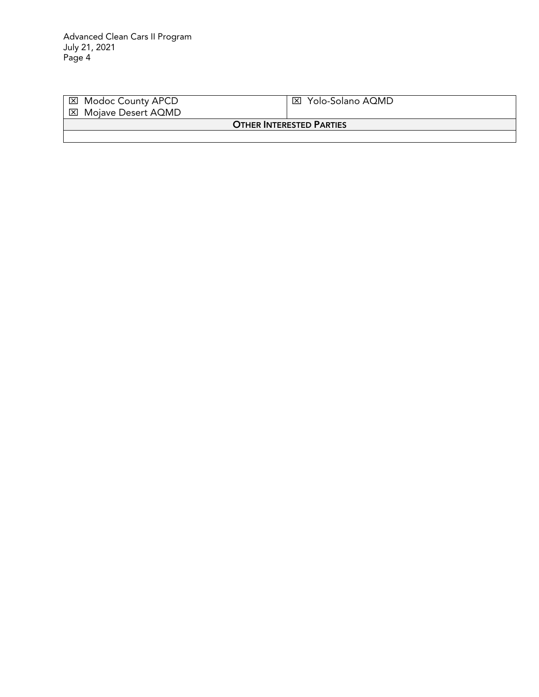| ⊠ Modoc County APCD<br>⊠ Mojave Desert AQMD | Yolo-Solano AQMD<br>⊠⊦ |  |  |
|---------------------------------------------|------------------------|--|--|
| <b>OTHER INTERESTED PARTIES</b>             |                        |  |  |
|                                             |                        |  |  |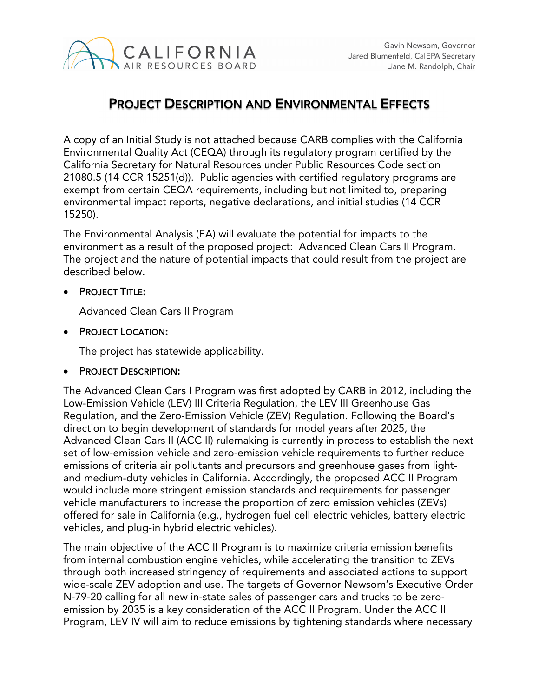

## PROJECT DESCRIPTION AND ENVIRONMENTAL EFFECTS

A copy of an Initial Study is not attached because CARB complies with the California Environmental Quality Act (CEQA) through its regulatory program certified by the California Secretary for Natural Resources under Public Resources Code section 21080.5 (14 CCR 15251(d)). Public agencies with certified regulatory programs are exempt from certain CEQA requirements, including but not limited to, preparing environmental impact reports, negative declarations, and initial studies (14 CCR 15250).

The Environmental Analysis (EA) will evaluate the potential for impacts to the environment as a result of the proposed project: Advanced Clean Cars II Program. The project and the nature of potential impacts that could result from the project are described below.

PROJECT TITLE:

Advanced Clean Cars II Program

• **PROJECT LOCATION:** 

The project has statewide applicability.

PROJECT DESCRIPTION:

The Advanced Clean Cars I Program was first adopted by CARB in 2012, including the Low-Emission Vehicle (LEV) III Criteria Regulation, the LEV III Greenhouse Gas Regulation, and the Zero-Emission Vehicle (ZEV) Regulation. Following the Board's direction to begin development of standards for model years after 2025, the Advanced Clean Cars II (ACC II) rulemaking is currently in process to establish the next set of low-emission vehicle and zero-emission vehicle requirements to further reduce emissions of criteria air pollutants and precursors and greenhouse gases from lightand medium-duty vehicles in California. Accordingly, the proposed ACC II Program would include more stringent emission standards and requirements for passenger vehicle manufacturers to increase the proportion of zero emission vehicles (ZEVs) offered for sale in California (e.g., hydrogen fuel cell electric vehicles, battery electric vehicles, and plug-in hybrid electric vehicles).

The main objective of the ACC II Program is to maximize criteria emission benefits from internal combustion engine vehicles, while accelerating the transition to ZEVs through both increased stringency of requirements and associated actions to support wide-scale ZEV adoption and use. The targets of Governor Newsom's Executive Order N-79-20 calling for all new in-state sales of passenger cars and trucks to be zeroemission by 2035 is a key consideration of the ACC II Program. Under the ACC II Program, LEV IV will aim to reduce emissions by tightening standards where necessary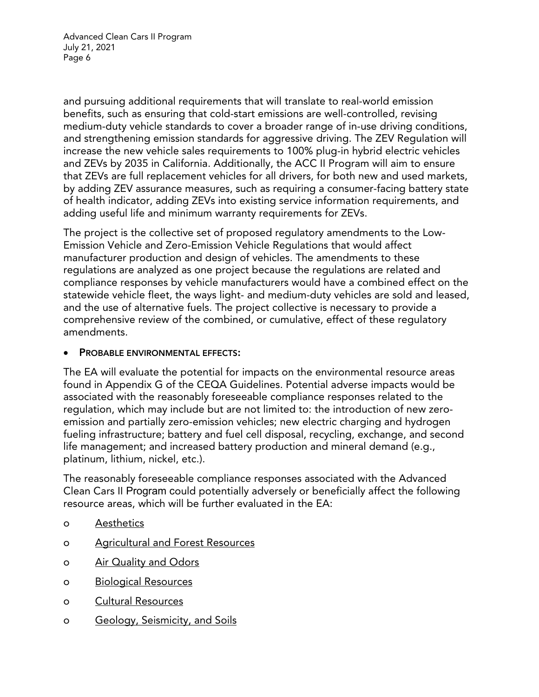Advanced Clean Cars II Program July 21, 2021 Page 6

and pursuing additional requirements that will translate to real-world emission benefits, such as ensuring that cold-start emissions are well-controlled, revising medium-duty vehicle standards to cover a broader range of in-use driving conditions, and strengthening emission standards for aggressive driving. The ZEV Regulation will increase the new vehicle sales requirements to 100% plug-in hybrid electric vehicles and ZEVs by 2035 in California. Additionally, the ACC II Program will aim to ensure that ZEVs are full replacement vehicles for all drivers, for both new and used markets, by adding ZEV assurance measures, such as requiring a consumer-facing battery state of health indicator, adding ZEVs into existing service information requirements, and adding useful life and minimum warranty requirements for ZEVs.

The project is the collective set of proposed regulatory amendments to the Low-Emission Vehicle and Zero-Emission Vehicle Regulations that would affect manufacturer production and design of vehicles. The amendments to these regulations are analyzed as one project because the regulations are related and compliance responses by vehicle manufacturers would have a combined effect on the statewide vehicle fleet, the ways light- and medium-duty vehicles are sold and leased, and the use of alternative fuels. The project collective is necessary to provide a comprehensive review of the combined, or cumulative, effect of these regulatory amendments.

#### PROBABLE ENVIRONMENTAL EFFECTS:

The EA will evaluate the potential for impacts on the environmental resource areas found in Appendix G of the CEQA Guidelines. Potential adverse impacts would be associated with the reasonably foreseeable compliance responses related to the regulation, which may include but are not limited to: the introduction of new zeroemission and partially zero-emission vehicles; new electric charging and hydrogen fueling infrastructure; battery and fuel cell disposal, recycling, exchange, and second life management; and increased battery production and mineral demand (e.g., platinum, lithium, nickel, etc.).

The reasonably foreseeable compliance responses associated with the Advanced Clean Cars II Program could potentially adversely or beneficially affect the following resource areas, which will be further evaluated in the EA:

- o Aesthetics
- o Agricultural and Forest Resources
- o Air Quality and Odors
- o Biological Resources
- o Cultural Resources
- o Geology, Seismicity, and Soils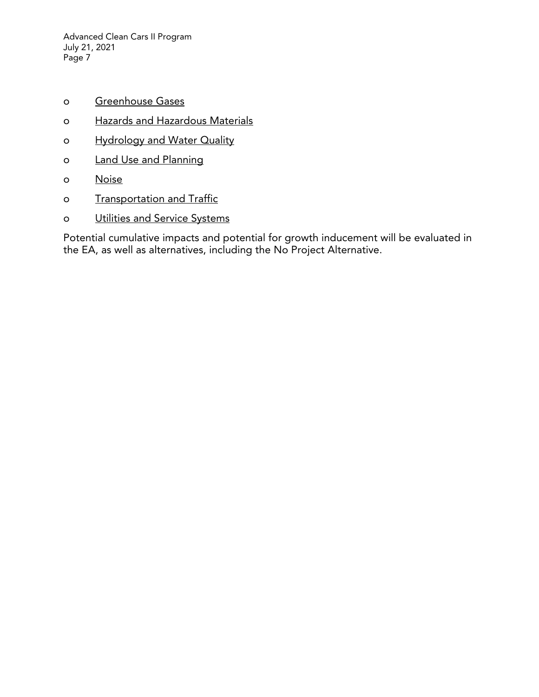Advanced Clean Cars II Program July 21, 2021 Page 7

- o Greenhouse Gases
- o Hazards and Hazardous Materials
- o Hydrology and Water Quality
- o Land Use and Planning
- o Noise
- o Transportation and Traffic
- o Utilities and Service Systems

Potential cumulative impacts and potential for growth inducement will be evaluated in the EA, as well as alternatives, including the No Project Alternative.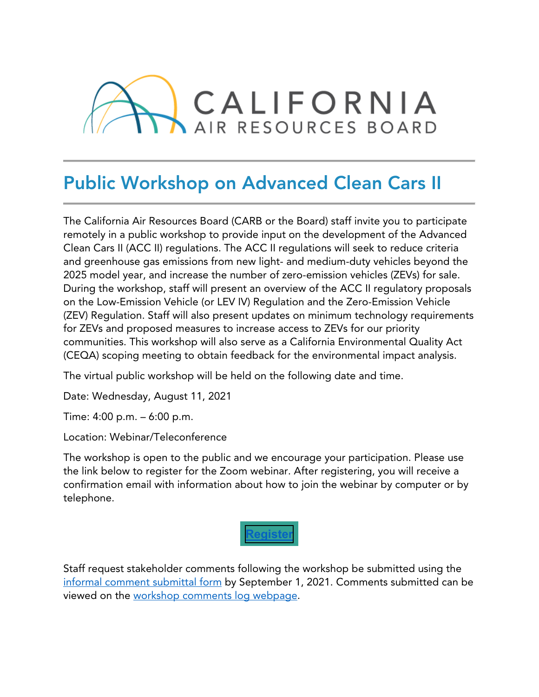

# Public Workshop on Advanced Clean Cars II

The California Air Resources Board (CARB or the Board) staff invite you to participate remotely in a public workshop to provide input on the development of the Advanced Clean Cars II (ACC II) regulations. The ACC II regulations will seek to reduce criteria and greenhouse gas emissions from new light- and medium-duty vehicles beyond the 2025 model year, and increase the number of zero-emission vehicles (ZEVs) for sale. During the workshop, staff will present an overview of the ACC II regulatory proposals on the Low-Emission Vehicle (or LEV IV) Regulation and the Zero-Emission Vehicle (ZEV) Regulation. Staff will also present updates on minimum technology requirements for ZEVs and proposed measures to increase access to ZEVs for our priority communities. This workshop will also serve as a California Environmental Quality Act (CEQA) scoping meeting to obtain feedback for the environmental impact analysis.

The virtual public workshop will be held on the following date and time.

Date: Wednesday, August 11, 2021

Time: 4:00 p.m. – 6:00 p.m.

Location: Webinar/Teleconference

The workshop is open to the public and we encourage your participation. Please use the link below to register for the Zoom webinar. After registering, you will receive a confirmation email with information about how to join the webinar by computer or by telephone.



Staff request stakeholder comments following the workshop be submitted using the informal comment submittal form by September 1, 2021. Comments submitted can be viewed on the [workshop comments log webpage.](https://www.arb.ca.gov/lispub/comm2/bcsubform.php?listname=accii-comments-w3-ws&comm_period=1)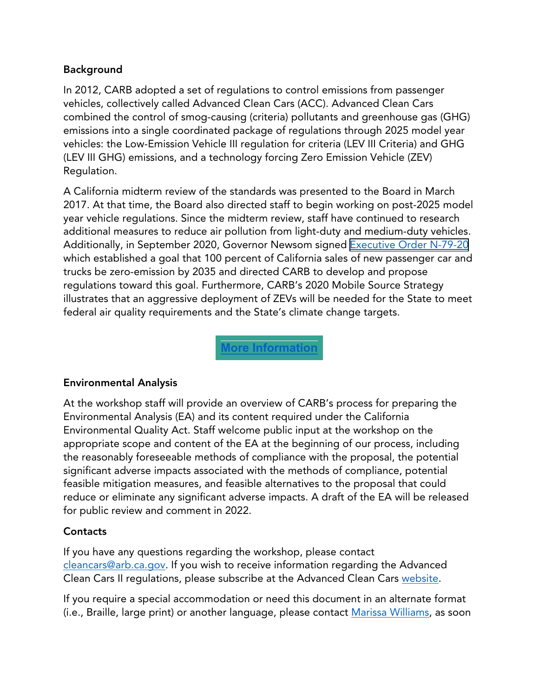#### Background

In 2012, CARB adopted a set of regulations to control emissions from passenger vehicles, collectively called Advanced Clean Cars (ACC). Advanced Clean Cars combined the control of smog-causing (criteria) pollutants and greenhouse gas (GHG) emissions into a single coordinated package of regulations through 2025 model year vehicles: the Low-Emission Vehicle III regulation for criteria (LEV III Criteria) and GHG (LEV III GHG) emissions, and a technology forcing Zero Emission Vehicle (ZEV) Regulation.

A California midterm review of the standards was presented to the Board in March 2017. At that time, the Board also directed staff to begin working on post-2025 model year vehicle regulations. Since the midterm review, staff have continued to research additional measures to reduce air pollution from light-duty and medium-duty vehicles. Additionally, in September 2020, Governor Newsom signed [Executive Order N-79-20](https://www.gov.ca.gov/wp-content/uploads/2020/09/9.23.20-EO-N-79-20-Climate.pdf) which established a goal that 100 percent of California sales of new passenger car and trucks be zero-emission by 2035 and directed CARB to develop and propose regulations toward this goal. Furthermore, CARB's 2020 Mobile Source Strategy illustrates that an aggressive deployment of ZEVs will be needed for the State to meet federal air quality requirements and the State's climate change targets.

**[More Information](https://ww2.arb.ca.gov/our-work/programs/advanced-clean-cars-program)**

### Environmental Analysis

At the workshop staff will provide an overview of CARB's process for preparing the Environmental Analysis (EA) and its content required under the California Environmental Quality Act. Staff welcome public input at the workshop on the appropriate scope and content of the EA at the beginning of our process, including the reasonably foreseeable methods of compliance with the proposal, the potential significant adverse impacts associated with the methods of compliance, potential feasible mitigation measures, and feasible alternatives to the proposal that could reduce or eliminate any significant adverse impacts. A draft of the EA will be released for public review and comment in 2022.

### **Contacts**

If you have any questions regarding the workshop, please contact cleancars@arb.ca.gov. If you wish to receive information regarding the Advanced Clean Cars II regulations, please subscribe at the Advanced Clean Cars [website](https://ww2.arb.ca.gov/our-work/programs/advanced-clean-cars-program).

If you require a special accommodation or need this document in an alternate format (i.e., Braille, large print) or another language, please contact [Marissa Williams,](mailto:marissa.williams@arb.ca.gov) as soon